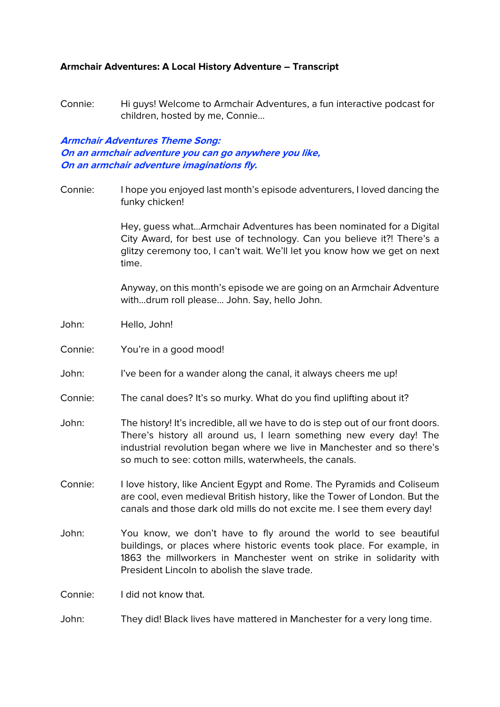#### **Armchair Adventures: A Local History Adventure – Transcript**

Connie: Hi guys! Welcome to Armchair Adventures, a fun interactive podcast for children, hosted by me, Connie…

#### **Armchair Adventures Theme Song: On an armchair adventure you can go anywhere you like, On an armchair adventure imaginations fly.**

Connie: I hope you enjoyed last month's episode adventurers, I loved dancing the funky chicken!

> Hey, guess what…Armchair Adventures has been nominated for a Digital City Award, for best use of technology. Can you believe it?! There's a glitzy ceremony too, I can't wait. We'll let you know how we get on next time.

> Anyway, on this month's episode we are going on an Armchair Adventure with…drum roll please… John. Say, hello John.

- John: Hello, John!
- Connie: You're in a good mood!
- John: I've been for a wander along the canal, it always cheers me up!
- Connie: The canal does? It's so murky. What do you find uplifting about it?
- John: The history! It's incredible, all we have to do is step out of our front doors. There's history all around us, I learn something new every day! The industrial revolution began where we live in Manchester and so there's so much to see: cotton mills, waterwheels, the canals.
- Connie: I love history, like Ancient Egypt and Rome. The Pyramids and Coliseum are cool, even medieval British history, like the Tower of London. But the canals and those dark old mills do not excite me. I see them every day!
- John: You know, we don't have to fly around the world to see beautiful buildings, or places where historic events took place. For example, in 1863 the millworkers in Manchester went on strike in solidarity with President Lincoln to abolish the slave trade.

Connie: I did not know that.

John: They did! Black lives have mattered in Manchester for a very long time.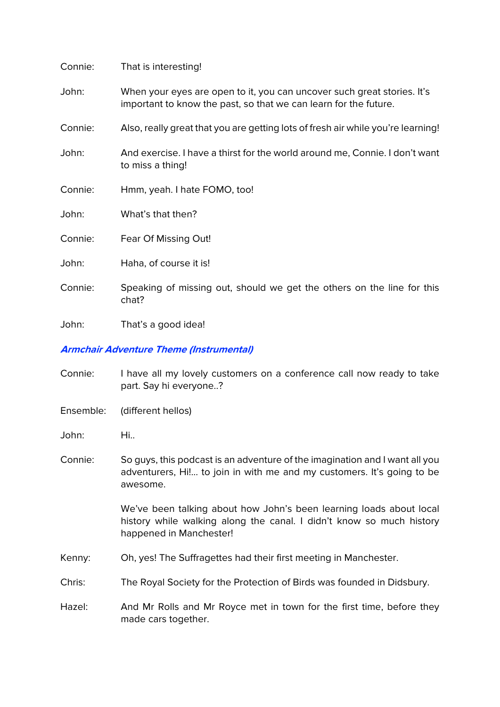| Connie: | That is interesting!                                                                                                                        |
|---------|---------------------------------------------------------------------------------------------------------------------------------------------|
| John:   | When your eyes are open to it, you can uncover such great stories. It's<br>important to know the past, so that we can learn for the future. |
| Connie: | Also, really great that you are getting lots of fresh air while you're learning!                                                            |
| John:   | And exercise. I have a thirst for the world around me, Connie. I don't want<br>to miss a thing!                                             |
| Connie: | Hmm, yeah. I hate FOMO, too!                                                                                                                |
| John:   | What's that then?                                                                                                                           |
| Connie: | Fear Of Missing Out!                                                                                                                        |
| John:   | Haha, of course it is!                                                                                                                      |
| Connie: | Speaking of missing out, should we get the others on the line for this<br>chat?                                                             |
| John:   | That's a good idea!                                                                                                                         |

#### **Armchair Adventure Theme (Instrumental)**

- Connie: I have all my lovely customers on a conference call now ready to take part. Say hi everyone..?
- Ensemble: (different hellos)
- John: Hi..
- Connie: So guys, this podcast is an adventure of the imagination and I want all you adventurers, Hi!... to join in with me and my customers. It's going to be awesome.

We've been talking about how John's been learning loads about local history while walking along the canal. I didn't know so much history happened in Manchester!

- Kenny: Oh, yes! The Suffragettes had their first meeting in Manchester.
- Chris: The Royal Society for the Protection of Birds was founded in Didsbury.
- Hazel: And Mr Rolls and Mr Royce met in town for the first time, before they made cars together.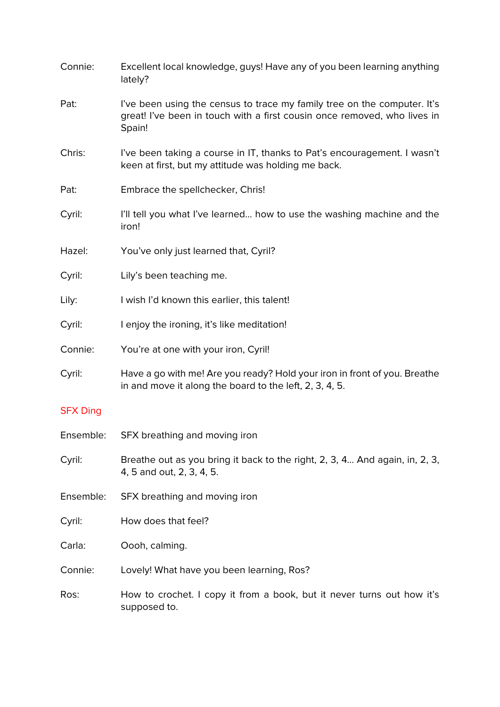| Connie:         | Excellent local knowledge, guys! Have any of you been learning anything<br>lately?                                                                             |
|-----------------|----------------------------------------------------------------------------------------------------------------------------------------------------------------|
| Pat:            | I've been using the census to trace my family tree on the computer. It's<br>great! I've been in touch with a first cousin once removed, who lives in<br>Spain! |
| Chris:          | I've been taking a course in IT, thanks to Pat's encouragement. I wasn't<br>keen at first, but my attitude was holding me back.                                |
| Pat:            | Embrace the spellchecker, Chris!                                                                                                                               |
| Cyril:          | I'll tell you what I've learned how to use the washing machine and the<br>iron!                                                                                |
| Hazel:          | You've only just learned that, Cyril?                                                                                                                          |
| Cyril:          | Lily's been teaching me.                                                                                                                                       |
| Lily:           | I wish I'd known this earlier, this talent!                                                                                                                    |
| Cyril:          | I enjoy the ironing, it's like meditation!                                                                                                                     |
| Connie:         | You're at one with your iron, Cyril!                                                                                                                           |
| Cyril:          | Have a go with me! Are you ready? Hold your iron in front of you. Breathe<br>in and move it along the board to the left, 2, 3, 4, 5.                           |
| <b>SFX Ding</b> |                                                                                                                                                                |
| Ensemble:       | SFX breathing and moving iron                                                                                                                                  |
| Cyril:          | Breathe out as you bring it back to the right, 2, 3, 4 And again, in, 2, 3,<br>4, 5 and out, 2, 3, 4, 5.                                                       |
| Ensemble:       | SFX breathing and moving iron                                                                                                                                  |
| Cyril:          | How does that feel?                                                                                                                                            |
| Carla:          | Oooh, calming.                                                                                                                                                 |
| Connie:         | Lovely! What have you been learning, Ros?                                                                                                                      |
| Ros:            | How to crochet. I copy it from a book, but it never turns out how it's<br>supposed to.                                                                         |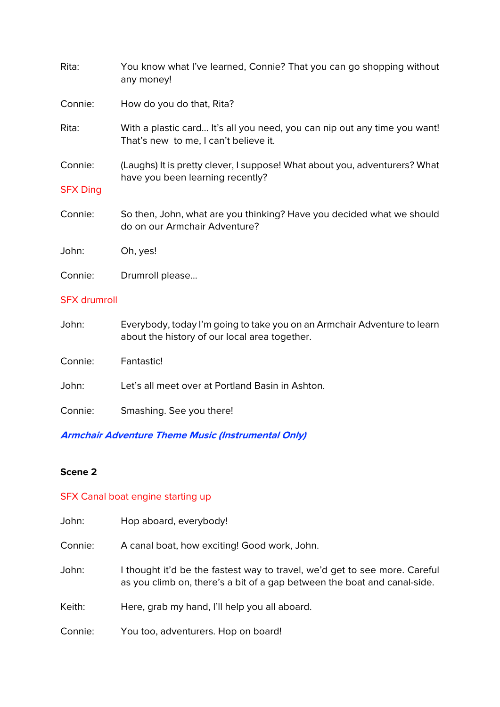| Rita:                      | You know what I've learned, Connie? That you can go shopping without<br>any money!                                 |
|----------------------------|--------------------------------------------------------------------------------------------------------------------|
| Connie:                    | How do you do that, Rita?                                                                                          |
| Rita:                      | With a plastic card It's all you need, you can nip out any time you want!<br>That's new to me, I can't believe it. |
| Connie:<br><b>SFX Ding</b> | (Laughs) It is pretty clever, I suppose! What about you, adventurers? What<br>have you been learning recently?     |
| Connie:                    | So then, John, what are you thinking? Have you decided what we should<br>do on our Armchair Adventure?             |
| John:                      | Oh, yes!                                                                                                           |
| Connie:                    | Drumroll please                                                                                                    |

## SFX drumroll

| John:   | Everybody, today I'm going to take you on an Armchair Adventure to learn<br>about the history of our local area together. |
|---------|---------------------------------------------------------------------------------------------------------------------------|
| Connie: | Fantastic!                                                                                                                |
| John:   | Let's all meet over at Portland Basin in Ashton.                                                                          |
| Connie: | Smashing. See you there!                                                                                                  |

# **Armchair Adventure Theme Music (Instrumental Only)**

## **Scene 2**

# SFX Canal boat engine starting up

| John:   | Hop aboard, everybody!                                                                                                                                 |
|---------|--------------------------------------------------------------------------------------------------------------------------------------------------------|
| Connie: | A canal boat, how exciting! Good work, John.                                                                                                           |
| John:   | I thought it'd be the fastest way to travel, we'd get to see more. Careful<br>as you climb on, there's a bit of a gap between the boat and canal-side. |
| Keith:  | Here, grab my hand, I'll help you all aboard.                                                                                                          |
| Connie: | You too, adventurers. Hop on board!                                                                                                                    |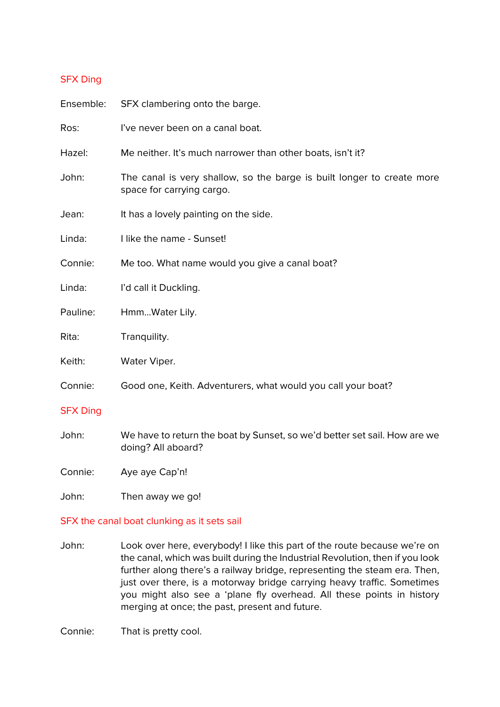#### SFX Ding

| Ensemble:       | SFX clambering onto the barge.                                                                      |
|-----------------|-----------------------------------------------------------------------------------------------------|
| Ros:            | I've never been on a canal boat.                                                                    |
| Hazel:          | Me neither. It's much narrower than other boats, isn't it?                                          |
| John:           | The canal is very shallow, so the barge is built longer to create more<br>space for carrying cargo. |
| Jean:           | It has a lovely painting on the side.                                                               |
| Linda:          | I like the name - Sunset!                                                                           |
| Connie:         | Me too. What name would you give a canal boat?                                                      |
| Linda:          | I'd call it Duckling.                                                                               |
| Pauline:        | HmmWater Lily.                                                                                      |
| Rita:           | Tranquility.                                                                                        |
| Keith:          | Water Viper.                                                                                        |
| Connie:         | Good one, Keith. Adventurers, what would you call your boat?                                        |
| <b>SFX Ding</b> |                                                                                                     |
| John:           | We have to return the boat by Sunset, so we'd better set sail. How are we<br>doing? All aboard?     |
| Connie:         | Aye aye Cap'n!                                                                                      |

John: Then away we go!

#### SFX the canal boat clunking as it sets sail

John: Look over here, everybody! I like this part of the route because we're on the canal, which was built during the Industrial Revolution, then if you look further along there's a railway bridge, representing the steam era. Then, just over there, is a motorway bridge carrying heavy traffic. Sometimes you might also see a 'plane fly overhead. All these points in history merging at once; the past, present and future.

Connie: That is pretty cool.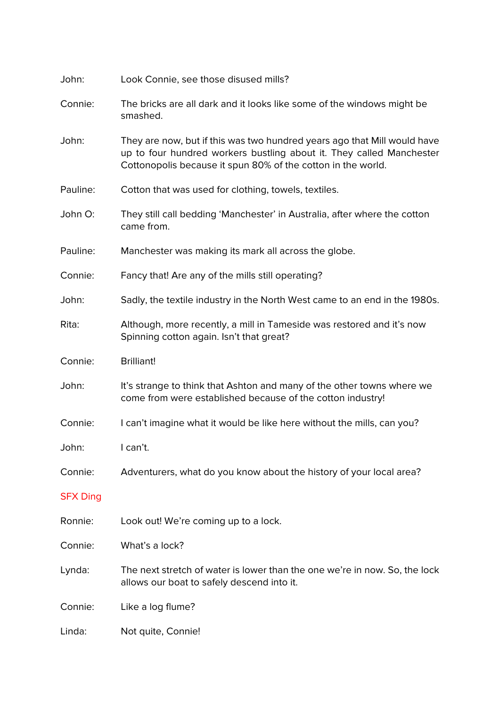| John:           | Look Connie, see those disused mills?                                                                                                                                                                            |
|-----------------|------------------------------------------------------------------------------------------------------------------------------------------------------------------------------------------------------------------|
| Connie:         | The bricks are all dark and it looks like some of the windows might be<br>smashed.                                                                                                                               |
| John:           | They are now, but if this was two hundred years ago that Mill would have<br>up to four hundred workers bustling about it. They called Manchester<br>Cottonopolis because it spun 80% of the cotton in the world. |
| Pauline:        | Cotton that was used for clothing, towels, textiles.                                                                                                                                                             |
| John O:         | They still call bedding 'Manchester' in Australia, after where the cotton<br>came from.                                                                                                                          |
| Pauline:        | Manchester was making its mark all across the globe.                                                                                                                                                             |
| Connie:         | Fancy that! Are any of the mills still operating?                                                                                                                                                                |
| John:           | Sadly, the textile industry in the North West came to an end in the 1980s.                                                                                                                                       |
| Rita:           | Although, more recently, a mill in Tameside was restored and it's now<br>Spinning cotton again. Isn't that great?                                                                                                |
| Connie:         | <b>Brilliant!</b>                                                                                                                                                                                                |
| John:           | It's strange to think that Ashton and many of the other towns where we<br>come from were established because of the cotton industry!                                                                             |
| Connie:         | I can't imagine what it would be like here without the mills, can you?                                                                                                                                           |
| John:           | I can't.                                                                                                                                                                                                         |
| Connie:         | Adventurers, what do you know about the history of your local area?                                                                                                                                              |
| <b>SFX Ding</b> |                                                                                                                                                                                                                  |
| Ronnie:         | Look out! We're coming up to a lock.                                                                                                                                                                             |
| Connie:         | What's a lock?                                                                                                                                                                                                   |
| Lynda:          | The next stretch of water is lower than the one we're in now. So, the lock<br>allows our boat to safely descend into it.                                                                                         |
| Connie:         | Like a log flume?                                                                                                                                                                                                |
| Linda:          | Not quite, Connie!                                                                                                                                                                                               |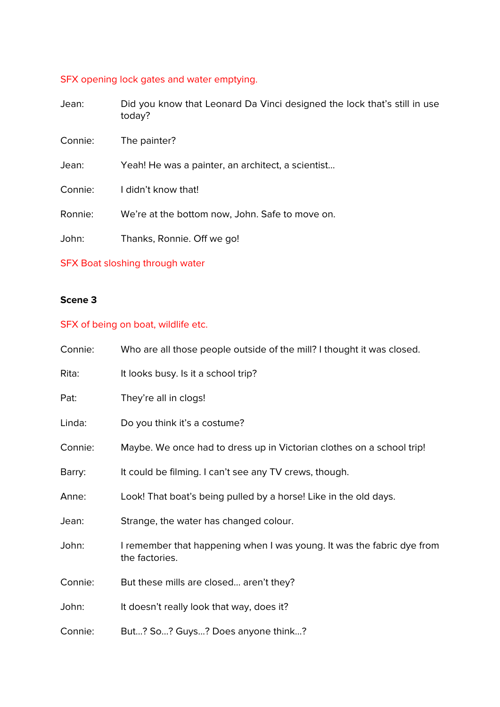## SFX opening lock gates and water emptying.

| Did you know that Leonard Da Vinci designed the lock that's still in use<br>today? |
|------------------------------------------------------------------------------------|
| The painter?                                                                       |
| Yeah! He was a painter, an architect, a scientist                                  |
| I didn't know that!                                                                |
| We're at the bottom now, John. Safe to move on.                                    |
| Thanks, Ronnie. Off we go!                                                         |
|                                                                                    |

## SFX Boat sloshing through water

## **Scene 3**

## SFX of being on boat, wildlife etc.

| Connie: | Who are all those people outside of the mill? I thought it was closed.                   |
|---------|------------------------------------------------------------------------------------------|
| Rita:   | It looks busy. Is it a school trip?                                                      |
| Pat:    | They're all in clogs!                                                                    |
| Linda:  | Do you think it's a costume?                                                             |
| Connie: | Maybe. We once had to dress up in Victorian clothes on a school trip!                    |
| Barry:  | It could be filming. I can't see any TV crews, though.                                   |
| Anne:   | Look! That boat's being pulled by a horse! Like in the old days.                         |
| Jean:   | Strange, the water has changed colour.                                                   |
| John:   | I remember that happening when I was young. It was the fabric dye from<br>the factories. |
| Connie: | But these mills are closed aren't they?                                                  |
| John:   | It doesn't really look that way, does it?                                                |
| Connie: | But? So? Guys? Does anyone think?                                                        |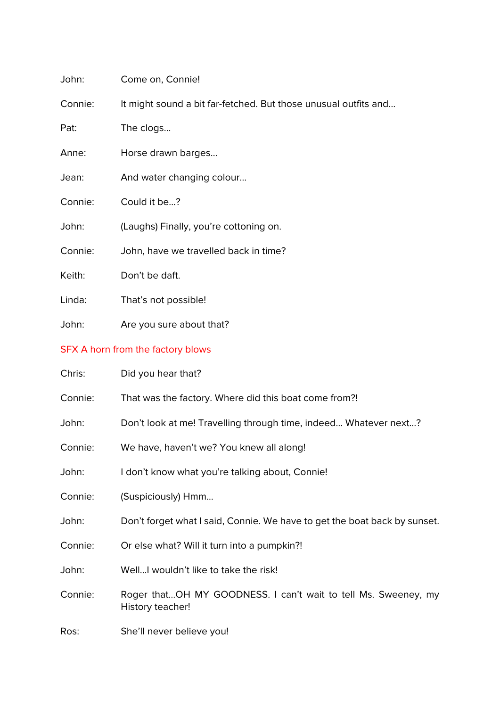| John:   | Come on, Connie!                                                |
|---------|-----------------------------------------------------------------|
| Connie: | It might sound a bit far-fetched. But those unusual outfits and |
| Pat:    | The clogs                                                       |
| Anne:   | Horse drawn barges                                              |
| Jean:   | And water changing colour                                       |
| Connie: | Could it be?                                                    |
| John:   | (Laughs) Finally, you're cottoning on.                          |
| Connie: | John, have we travelled back in time?                           |
| Keith:  | Don't be daft.                                                  |
| Linda:  | That's not possible!                                            |
| John:   | Are you sure about that?                                        |

# SFX A horn from the factory blows

| Chris:  | Did you hear that?                                                                 |
|---------|------------------------------------------------------------------------------------|
| Connie: | That was the factory. Where did this boat come from?!                              |
| John:   | Don't look at me! Travelling through time, indeed Whatever next?                   |
| Connie: | We have, haven't we? You knew all along!                                           |
| John:   | I don't know what you're talking about, Connie!                                    |
| Connie: | (Suspiciously) Hmm                                                                 |
| John:   | Don't forget what I said, Connie. We have to get the boat back by sunset.          |
| Connie: | Or else what? Will it turn into a pumpkin?!                                        |
| John:   | WellI wouldn't like to take the risk!                                              |
| Connie: | Roger thatOH MY GOODNESS. I can't wait to tell Ms. Sweeney, my<br>History teacher! |
| Ros:    | She'll never believe you!                                                          |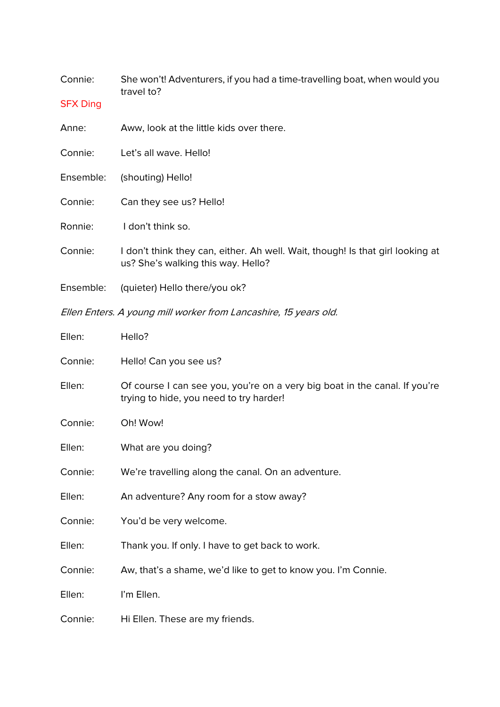| Connie:                                                          | She won't! Adventurers, if you had a time-travelling boat, when would you<br>travel to?                               |  |
|------------------------------------------------------------------|-----------------------------------------------------------------------------------------------------------------------|--|
| <b>SFX Ding</b>                                                  |                                                                                                                       |  |
| Anne:                                                            | Aww, look at the little kids over there.                                                                              |  |
| Connie:                                                          | Let's all wave. Hello!                                                                                                |  |
| Ensemble:                                                        | (shouting) Hello!                                                                                                     |  |
| Connie:                                                          | Can they see us? Hello!                                                                                               |  |
| Ronnie:                                                          | I don't think so.                                                                                                     |  |
| Connie:                                                          | I don't think they can, either. Ah well. Wait, though! Is that girl looking at<br>us? She's walking this way. Hello?  |  |
| Ensemble:                                                        | (quieter) Hello there/you ok?                                                                                         |  |
| Ellen Enters. A young mill worker from Lancashire, 15 years old. |                                                                                                                       |  |
| Ellen:                                                           | Hello?                                                                                                                |  |
| Connie:                                                          | Hello! Can you see us?                                                                                                |  |
| Ellen:                                                           | Of course I can see you, you're on a very big boat in the canal. If you're<br>trying to hide, you need to try harder! |  |
| Connie:                                                          | Oh! Wow!                                                                                                              |  |
| Ellen:                                                           | What are you doing?                                                                                                   |  |
| Connie:                                                          | We're travelling along the canal. On an adventure.                                                                    |  |
| Ellen:                                                           | An adventure? Any room for a stow away?                                                                               |  |
| Connie:                                                          | You'd be very welcome.                                                                                                |  |

- Ellen: Thank you. If only. I have to get back to work.
- Connie: Aw, that's a shame, we'd like to get to know you. I'm Connie.
- Ellen: I'm Ellen.
- Connie: Hi Ellen. These are my friends.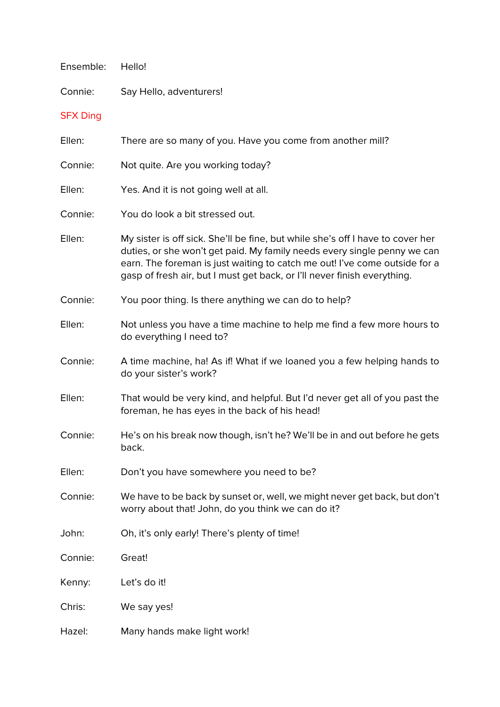| Ensemble:       | Hello!                                                                                                                                                                                                                                                                                                               |
|-----------------|----------------------------------------------------------------------------------------------------------------------------------------------------------------------------------------------------------------------------------------------------------------------------------------------------------------------|
| Connie:         | Say Hello, adventurers!                                                                                                                                                                                                                                                                                              |
| <b>SFX Ding</b> |                                                                                                                                                                                                                                                                                                                      |
| Ellen:          | There are so many of you. Have you come from another mill?                                                                                                                                                                                                                                                           |
| Connie:         | Not quite. Are you working today?                                                                                                                                                                                                                                                                                    |
| Ellen:          | Yes. And it is not going well at all.                                                                                                                                                                                                                                                                                |
| Connie:         | You do look a bit stressed out.                                                                                                                                                                                                                                                                                      |
| Ellen:          | My sister is off sick. She'll be fine, but while she's off I have to cover her<br>duties, or she won't get paid. My family needs every single penny we can<br>earn. The foreman is just waiting to catch me out! I've come outside for a<br>gasp of fresh air, but I must get back, or I'll never finish everything. |
| Connie:         | You poor thing. Is there anything we can do to help?                                                                                                                                                                                                                                                                 |
| Ellen:          | Not unless you have a time machine to help me find a few more hours to<br>do everything I need to?                                                                                                                                                                                                                   |
| Connie:         | A time machine, ha! As if! What if we loaned you a few helping hands to<br>do your sister's work?                                                                                                                                                                                                                    |
| Ellen:          | That would be very kind, and helpful. But I'd never get all of you past the<br>foreman, he has eyes in the back of his head!                                                                                                                                                                                         |
| Connie:         | He's on his break now though, isn't he? We'll be in and out before he gets<br>back.                                                                                                                                                                                                                                  |
| Ellen:          | Don't you have somewhere you need to be?                                                                                                                                                                                                                                                                             |
| Connie:         | We have to be back by sunset or, well, we might never get back, but don't<br>worry about that! John, do you think we can do it?                                                                                                                                                                                      |
| John:           | Oh, it's only early! There's plenty of time!                                                                                                                                                                                                                                                                         |
| Connie:         | Great!                                                                                                                                                                                                                                                                                                               |
| Kenny:          | Let's do it!                                                                                                                                                                                                                                                                                                         |
| Chris:          | We say yes!                                                                                                                                                                                                                                                                                                          |
| Hazel:          | Many hands make light work!                                                                                                                                                                                                                                                                                          |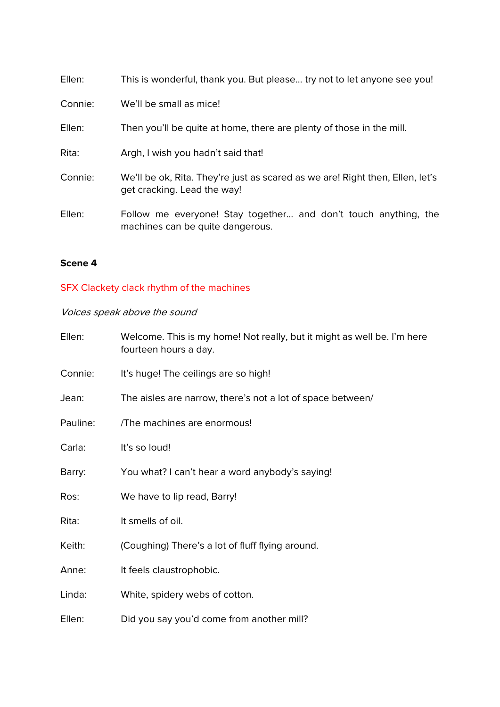| Ellen:  | This is wonderful, thank you. But please try not to let anyone see you!                                      |
|---------|--------------------------------------------------------------------------------------------------------------|
| Connie: | We'll be small as mice!                                                                                      |
| Ellen:  | Then you'll be quite at home, there are plenty of those in the mill.                                         |
| Rita:   | Argh, I wish you hadn't said that!                                                                           |
| Connie: | We'll be ok, Rita. They're just as scared as we are! Right then, Ellen, let's<br>get cracking. Lead the way! |
| Ellen:  | Follow me everyone! Stay together and don't touch anything, the<br>machines can be quite dangerous.          |

### **Scene 4**

# SFX Clackety clack rhythm of the machines

Voices speak above the sound

| Ellen:   | Welcome. This is my home! Not really, but it might as well be. I'm here<br>fourteen hours a day. |
|----------|--------------------------------------------------------------------------------------------------|
| Connie:  | It's huge! The ceilings are so high!                                                             |
| Jean:    | The aisles are narrow, there's not a lot of space between/                                       |
| Pauline: | /The machines are enormous!                                                                      |
| Carla:   | It's so loud!                                                                                    |
| Barry:   | You what? I can't hear a word anybody's saying!                                                  |
| Ros:     | We have to lip read, Barry!                                                                      |
| Rita:    | It smells of oil.                                                                                |
| Keith:   | (Coughing) There's a lot of fluff flying around.                                                 |
| Anne:    | It feels claustrophobic.                                                                         |
| Linda:   | White, spidery webs of cotton.                                                                   |
| Ellen:   | Did you say you'd come from another mill?                                                        |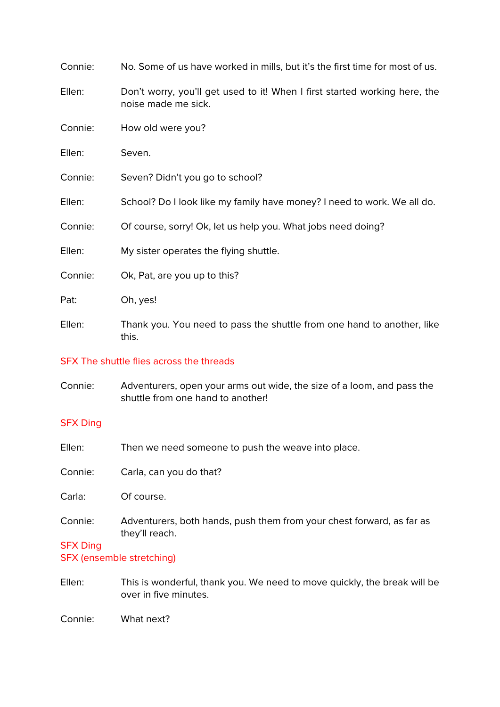| Connie: | No. Some of us have worked in mills, but it's the first time for most of us.                      |
|---------|---------------------------------------------------------------------------------------------------|
| Ellen:  | Don't worry, you'll get used to it! When I first started working here, the<br>noise made me sick. |
| Connie: | How old were you?                                                                                 |
| Ellen:  | Seven.                                                                                            |
| Connie: | Seven? Didn't you go to school?                                                                   |
| Ellen:  | School? Do I look like my family have money? I need to work. We all do.                           |
| Connie: | Of course, sorry! Ok, let us help you. What jobs need doing?                                      |
| Ellen:  | My sister operates the flying shuttle.                                                            |
| Connie: | Ok, Pat, are you up to this?                                                                      |
| Pat:    | Oh, yes!                                                                                          |
| Ellen:  | Thank you. You need to pass the shuttle from one hand to another, like<br>this.                   |

#### SFX The shuttle flies across the threads

Connie: Adventurers, open your arms out wide, the size of a loom, and pass the shuttle from one hand to another!

## SFX Ding

| Ellen:          | Then we need someone to push the weave into place.                                      |
|-----------------|-----------------------------------------------------------------------------------------|
| Connie:         | Carla, can you do that?                                                                 |
| Carla:          | Of course.                                                                              |
| Connie:         | Adventurers, both hands, push them from your chest forward, as far as<br>they'll reach. |
| <b>SFX Ding</b> |                                                                                         |
|                 | SFX (ensemble stretching)                                                               |
|                 |                                                                                         |

Ellen: This is wonderful, thank you. We need to move quickly, the break will be over in five minutes.

Connie: What next?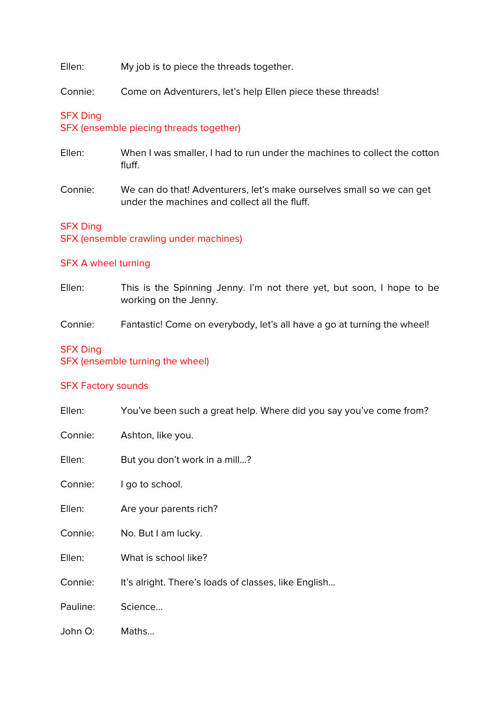Ellen: My job is to piece the threads together.

Connie: Come on Adventurers, let's help Ellen piece these threads!

### SFX Ding

SFX (ensemble piecing threads together)

- Ellen: When I was smaller, I had to run under the machines to collect the cotton fluff.
- Connie: We can do that! Adventurers, let's make ourselves small so we can get under the machines and collect all the fluff.

#### SFX Ding

SFX (ensemble crawling under machines)

#### SFX A wheel turning

Ellen: This is the Spinning Jenny. I'm not there yet, but soon, I hope to be working on the Jenny.

Connie: Fantastic! Come on everybody, let's all have a go at turning the wheel!

#### SFX Ding

SFX (ensemble turning the wheel)

#### SFX Factory sounds

| Ellen:   | You've been such a great help. Where did you say you've come from? |
|----------|--------------------------------------------------------------------|
| Connie:  | Ashton, like you.                                                  |
| Ellen:   | But you don't work in a mill?                                      |
| Connie:  | I go to school.                                                    |
| Ellen:   | Are your parents rich?                                             |
| Connie:  | No. But I am lucky.                                                |
| Ellen:   | What is school like?                                               |
| Connie:  | It's alright. There's loads of classes, like English               |
| Pauline: | Science                                                            |
| John O:  | Maths                                                              |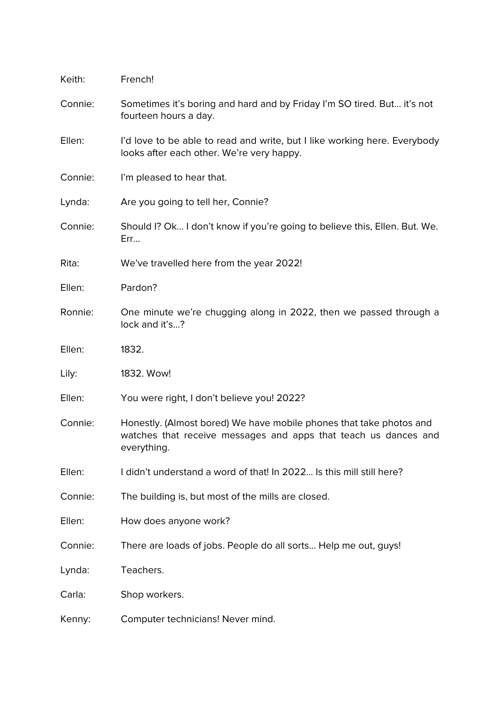| Keith:  | French!                                                                                                                                               |
|---------|-------------------------------------------------------------------------------------------------------------------------------------------------------|
| Connie: | Sometimes it's boring and hard and by Friday I'm SO tired. But it's not<br>fourteen hours a day.                                                      |
| Ellen:  | I'd love to be able to read and write, but I like working here. Everybody<br>looks after each other. We're very happy.                                |
| Connie: | I'm pleased to hear that.                                                                                                                             |
| Lynda:  | Are you going to tell her, Connie?                                                                                                                    |
| Connie: | Should I? Ok I don't know if you're going to believe this, Ellen. But. We.<br>Err                                                                     |
| Rita:   | We've travelled here from the year 2022!                                                                                                              |
| Ellen:  | Pardon?                                                                                                                                               |
| Ronnie: | One minute we're chugging along in 2022, then we passed through a<br>lock and it's?                                                                   |
| Ellen:  | 1832.                                                                                                                                                 |
| Lily:   | 1832. Wow!                                                                                                                                            |
| Ellen:  | You were right, I don't believe you! 2022?                                                                                                            |
| Connie: | Honestly. (Almost bored) We have mobile phones that take photos and<br>watches that receive messages and apps that teach us dances and<br>everything. |
| Ellen:  | I didn't understand a word of that! In 2022 Is this mill still here?                                                                                  |
| Connie: | The building is, but most of the mills are closed.                                                                                                    |
| Ellen:  | How does anyone work?                                                                                                                                 |
| Connie: | There are loads of jobs. People do all sorts Help me out, guys!                                                                                       |
| Lynda:  | Teachers.                                                                                                                                             |
| Carla:  | Shop workers.                                                                                                                                         |
| Kenny:  | Computer technicians! Never mind.                                                                                                                     |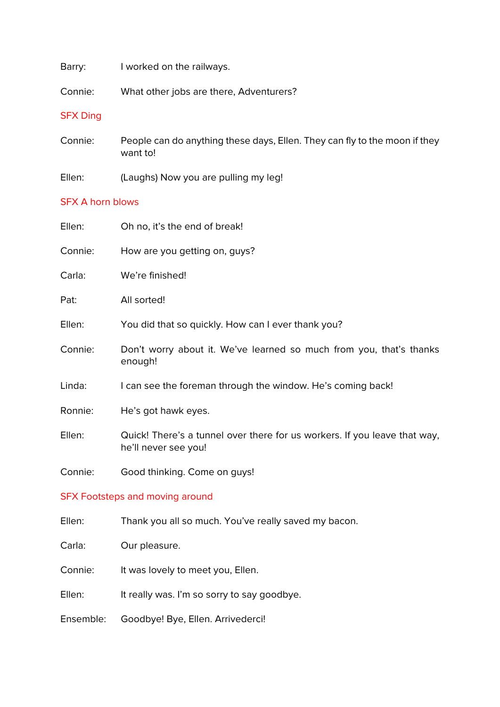Barry: I worked on the railways.

Connie: What other jobs are there, Adventurers?

#### SFX Ding

- Connie: People can do anything these days, Ellen. They can fly to the moon if they want to!
- Ellen: (Laughs) Now you are pulling my leg!

#### SFX A horn blows

| Ellen:  | Oh no, it's the end of break!                                                                     |
|---------|---------------------------------------------------------------------------------------------------|
| Connie: | How are you getting on, guys?                                                                     |
| Carla:  | We're finished!                                                                                   |
| Pat:    | All sorted!                                                                                       |
| Ellen:  | You did that so quickly. How can I ever thank you?                                                |
| Connie: | Don't worry about it. We've learned so much from you, that's thanks<br>enough!                    |
| Linda:  | I can see the foreman through the window. He's coming back!                                       |
| Ronnie: | He's got hawk eyes.                                                                               |
| Ellen:  | Quick! There's a tunnel over there for us workers. If you leave that way,<br>he'll never see you! |
| Connie: | Good thinking. Come on guys!                                                                      |

#### SFX Footsteps and moving around

- Ellen: Thank you all so much. You've really saved my bacon.
- Carla: Our pleasure.
- Connie: It was lovely to meet you, Ellen.
- Ellen: It really was. I'm so sorry to say goodbye.
- Ensemble: Goodbye! Bye, Ellen. Arrivederci!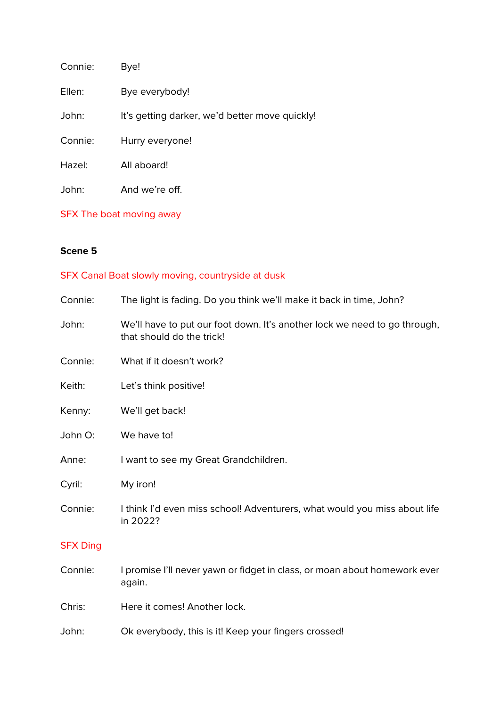| Connie: | Bye!                                           |
|---------|------------------------------------------------|
| Ellen:  | Bye everybody!                                 |
| John:   | It's getting darker, we'd better move quickly! |
| Connie: | Hurry everyone!                                |
| Hazel:  | All aboard!                                    |
| John:   | And we're off.                                 |

SFX The boat moving away

## **Scene 5**

# SFX Canal Boat slowly moving, countryside at dusk

| Connie:         | The light is fading. Do you think we'll make it back in time, John?                                    |
|-----------------|--------------------------------------------------------------------------------------------------------|
| John:           | We'll have to put our foot down. It's another lock we need to go through,<br>that should do the trick! |
| Connie:         | What if it doesn't work?                                                                               |
| Keith:          | Let's think positive!                                                                                  |
| Kenny:          | We'll get back!                                                                                        |
| John O:         | We have to!                                                                                            |
| Anne:           | I want to see my Great Grandchildren.                                                                  |
| Cyril:          | My iron!                                                                                               |
| Connie:         | I think I'd even miss school! Adventurers, what would you miss about life<br>in 2022?                  |
| <b>SFX Ding</b> |                                                                                                        |
| Connie:         | I promise I'll never yawn or fidget in class, or moan about homework ever<br>again.                    |
| Chris:          | Here it comes! Another lock.                                                                           |
| John:           | Ok everybody, this is it! Keep your fingers crossed!                                                   |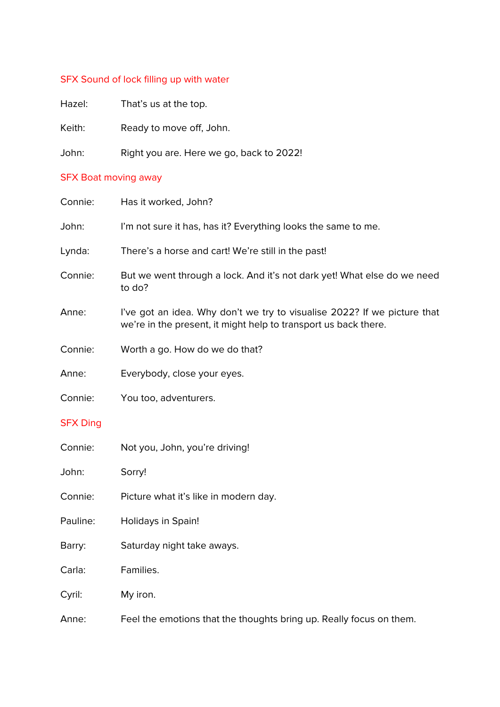# SFX Sound of lock filling up with water

| Hazel: | That's us at the top.                    |
|--------|------------------------------------------|
| Keith: | Ready to move off, John.                 |
| John:  | Right you are. Here we go, back to 2022! |

## SFX Boat moving away

| Connie:         | Has it worked, John?                                                                                                                        |
|-----------------|---------------------------------------------------------------------------------------------------------------------------------------------|
| John:           | I'm not sure it has, has it? Everything looks the same to me.                                                                               |
| Lynda:          | There's a horse and cart! We're still in the past!                                                                                          |
| Connie:         | But we went through a lock. And it's not dark yet! What else do we need<br>to do?                                                           |
| Anne:           | I've got an idea. Why don't we try to visualise 2022? If we picture that<br>we're in the present, it might help to transport us back there. |
| Connie:         | Worth a go. How do we do that?                                                                                                              |
| Anne:           | Everybody, close your eyes.                                                                                                                 |
| Connie:         | You too, adventurers.                                                                                                                       |
| <b>SFX Ding</b> |                                                                                                                                             |
| Connie:         | Not you, John, you're driving!                                                                                                              |
| John:           | Sorry!                                                                                                                                      |
| Connie:         | Picture what it's like in modern day.                                                                                                       |
| Pauline:        | Holidays in Spain!                                                                                                                          |
| Barry:          | Saturday night take aways.                                                                                                                  |
| Carla:          | Families.                                                                                                                                   |
| Cyril:          | My iron.                                                                                                                                    |
| Anne:           | Feel the emotions that the thoughts bring up. Really focus on them.                                                                         |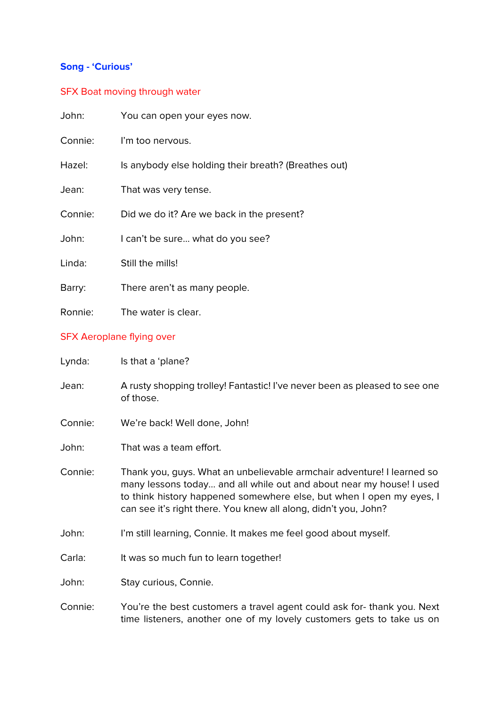# **Song - 'Curious'**

# SFX Boat moving through water

| John:   | You can open your eyes now.                          |
|---------|------------------------------------------------------|
| Connie: | I'm too nervous.                                     |
| Hazel:  | Is anybody else holding their breath? (Breathes out) |
| Jean:   | That was very tense.                                 |
| Connie: | Did we do it? Are we back in the present?            |
| John:   | I can't be sure what do you see?                     |
| Linda:  | Still the mills!                                     |
| Barry:  | There aren't as many people.                         |
| Ronnie: | The water is clear.                                  |
|         |                                                      |

# SFX Aeroplane flying over

| Lynda:  | Is that a 'plane?                                                                                                                                                                                                                                                                         |
|---------|-------------------------------------------------------------------------------------------------------------------------------------------------------------------------------------------------------------------------------------------------------------------------------------------|
| Jean:   | A rusty shopping trolley! Fantastic! I've never been as pleased to see one<br>of those.                                                                                                                                                                                                   |
| Connie: | We're back! Well done, John!                                                                                                                                                                                                                                                              |
| John:   | That was a team effort.                                                                                                                                                                                                                                                                   |
| Connie: | Thank you, guys. What an unbelievable armchair adventure! I learned so<br>many lessons today and all while out and about near my house! I used<br>to think history happened somewhere else, but when I open my eyes, I<br>can see it's right there. You knew all along, didn't you, John? |
| John:   | I'm still learning, Connie. It makes me feel good about myself.                                                                                                                                                                                                                           |
| Carla:  | It was so much fun to learn together!                                                                                                                                                                                                                                                     |
| John:   | Stay curious, Connie.                                                                                                                                                                                                                                                                     |
| Connie: | You're the best customers a travel agent could ask for-thank you. Next<br>time listeners, another one of my lovely customers gets to take us on                                                                                                                                           |